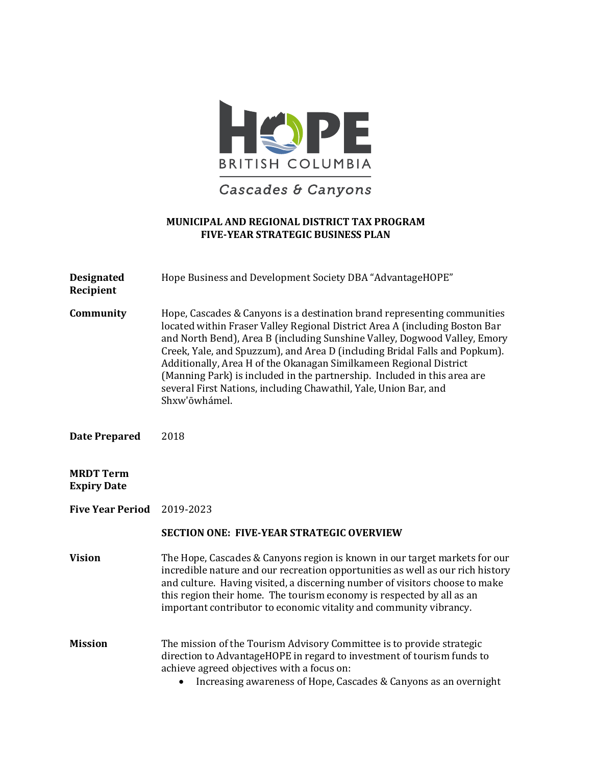

Cascades & Canyons

# **MUNICIPAL AND REGIONAL DISTRICT TAX PROGRAM FIVE-YEAR STRATEGIC BUSINESS PLAN**

| <b>Designated</b><br>Recipient         | Hope Business and Development Society DBA "AdvantageHOPE"                                                                                                                                                                                                                                                                                                                                                                                                                                                                                                 |
|----------------------------------------|-----------------------------------------------------------------------------------------------------------------------------------------------------------------------------------------------------------------------------------------------------------------------------------------------------------------------------------------------------------------------------------------------------------------------------------------------------------------------------------------------------------------------------------------------------------|
| Community                              | Hope, Cascades & Canyons is a destination brand representing communities<br>located within Fraser Valley Regional District Area A (including Boston Bar<br>and North Bend), Area B (including Sunshine Valley, Dogwood Valley, Emory<br>Creek, Yale, and Spuzzum), and Area D (including Bridal Falls and Popkum).<br>Additionally, Area H of the Okanagan Similkameen Regional District<br>(Manning Park) is included in the partnership. Included in this area are<br>several First Nations, including Chawathil, Yale, Union Bar, and<br>Shxw'ōwhámel. |
| <b>Date Prepared</b>                   | 2018                                                                                                                                                                                                                                                                                                                                                                                                                                                                                                                                                      |
| <b>MRDT Term</b><br><b>Expiry Date</b> |                                                                                                                                                                                                                                                                                                                                                                                                                                                                                                                                                           |
| <b>Five Year Period</b>                | 2019-2023                                                                                                                                                                                                                                                                                                                                                                                                                                                                                                                                                 |
|                                        | <b>SECTION ONE: FIVE-YEAR STRATEGIC OVERVIEW</b>                                                                                                                                                                                                                                                                                                                                                                                                                                                                                                          |
| <b>Vision</b>                          | The Hope, Cascades & Canyons region is known in our target markets for our<br>incredible nature and our recreation opportunities as well as our rich history<br>and culture. Having visited, a discerning number of visitors choose to make<br>this region their home. The tourism economy is respected by all as an<br>important contributor to economic vitality and community vibrancy.                                                                                                                                                                |
| <b>Mission</b>                         | The mission of the Tourism Advisory Committee is to provide strategic<br>direction to AdvantageHOPE in regard to investment of tourism funds to<br>achieve agreed objectives with a focus on:<br>Increasing awareness of Hope, Cascades & Canyons as an overnight                                                                                                                                                                                                                                                                                         |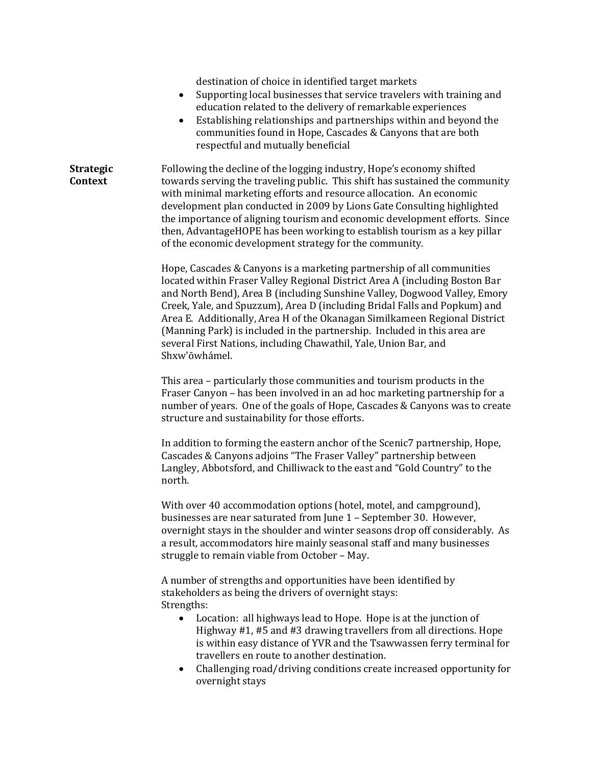destination of choice in identified target markets

- Supporting local businesses that service travelers with training and education related to the delivery of remarkable experiences
- Establishing relationships and partnerships within and beyond the communities found in Hope, Cascades & Canyons that are both respectful and mutually beneficial

**Strategic Context** Following the decline of the logging industry, Hope's economy shifted towards serving the traveling public. This shift has sustained the community with minimal marketing efforts and resource allocation. An economic development plan conducted in 2009 by Lions Gate Consulting highlighted the importance of aligning tourism and economic development efforts. Since then, AdvantageHOPE has been working to establish tourism as a key pillar of the economic development strategy for the community.

> Hope, Cascades & Canyons is a marketing partnership of all communities located within Fraser Valley Regional District Area A (including Boston Bar and North Bend), Area B (including Sunshine Valley, Dogwood Valley, Emory Creek, Yale, and Spuzzum), Area D (including Bridal Falls and Popkum) and Area E. Additionally, Area H of the Okanagan Similkameen Regional District (Manning Park) is included in the partnership. Included in this area are several First Nations, including Chawathil, Yale, Union Bar, and Shxw'ōwhámel.

> This area – particularly those communities and tourism products in the Fraser Canyon – has been involved in an ad hoc marketing partnership for a number of years. One of the goals of Hope, Cascades & Canyons was to create structure and sustainability for those efforts.

In addition to forming the eastern anchor of the Scenic7 partnership, Hope, Cascades & Canyons adjoins "The Fraser Valley" partnership between Langley, Abbotsford, and Chilliwack to the east and "Gold Country" to the north.

With over 40 accommodation options (hotel, motel, and campground), businesses are near saturated from June 1 – September 30. However, overnight stays in the shoulder and winter seasons drop off considerably. As a result, accommodators hire mainly seasonal staff and many businesses struggle to remain viable from October – May.

A number of strengths and opportunities have been identified by stakeholders as being the drivers of overnight stays: Strengths:<br>Loo

- Location: all highways lead to Hope. Hope is at the junction of Highway #1, #5 and #3 drawing travellers from all directions. Hope is within easy distance of YVR and the Tsawwassen ferry terminal for travellers en route to another destination.
- Challenging road/driving conditions create increased opportunity for overnight stays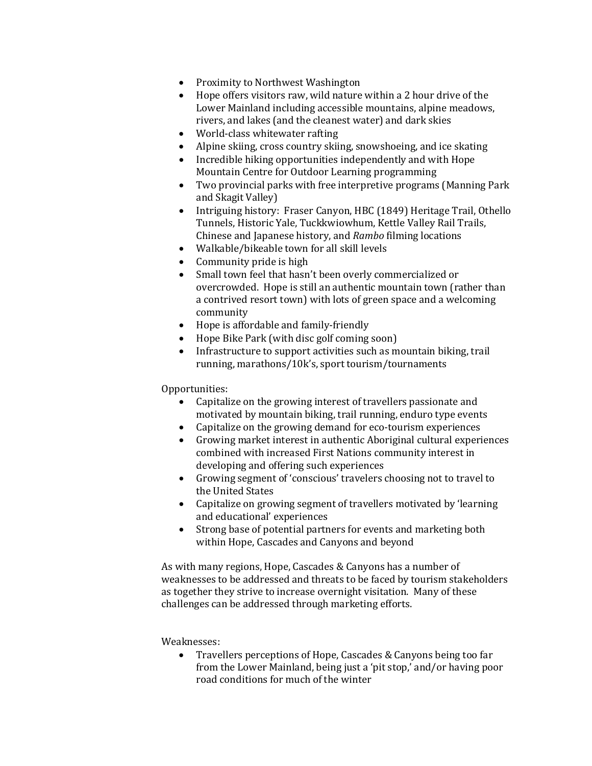- Proximity to Northwest Washington<br>• Hone offers visitors raw, wild nature
- Hope offers visitors raw, wild nature within a 2 hour drive of the Lower Mainland including accessible mountains, alpine meadows, rivers, and lakes (and the cleanest water) and dark skies
- World-class whitewater rafting
- Alpine skiing, cross country skiing, snowshoeing, and ice skating
- Incredible hiking opportunities independently and with Hope Mountain Centre for Outdoor Learning programming
- Two provincial parks with free interpretive programs (Manning Park and Skagit Valley)
- Intriguing history: Fraser Canyon, HBC (1849) Heritage Trail, Othello Tunnels, Historic Yale, Tuckkwiowhum, Kettle Valley Rail Trails, Chinese and Japanese history, and *Rambo* filming locations
- Walkable/bikeable town for all skill levels
- Community pride is high
- Small town feel that hasn't been overly commercialized or overcrowded. Hope is still an authentic mountain town (rather than a contrived resort town) with lots of green space and a welcoming community
- Hope is affordable and family-friendly
- Hope Bike Park (with disc golf coming soon)
- Infrastructure to support activities such as mountain biking, trail running, marathons/10k's, sport tourism/tournaments

Opportunities:

- Capitalize on the growing interest of travellers passionate and motivated by mountain biking, trail running, enduro type events
- Capitalize on the growing demand for eco-tourism experiences
- Growing market interest in authentic Aboriginal cultural experiences combined with increased First Nations community interest in developing and offering such experiences
- Growing segment of 'conscious' travelers choosing not to travel to the United States
- Capitalize on growing segment of travellers motivated by 'learning and educational' experiences
- Strong base of potential partners for events and marketing both within Hope, Cascades and Canyons and beyond

As with many regions, Hope, Cascades & Canyons has a number of weaknesses to be addressed and threats to be faced by tourism stakeholders as together they strive to increase overnight visitation. Many of these challenges can be addressed through marketing efforts.

### Weaknesses:

• Travellers perceptions of Hope, Cascades & Canyons being too far from the Lower Mainland, being just a 'pit stop,' and/or having poor road conditions for much of the winter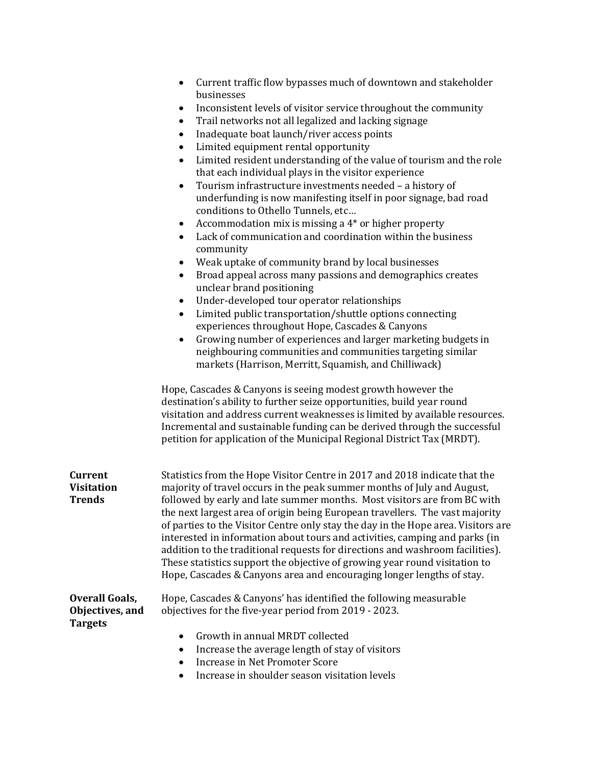| Current traffic flow bypasses much of downtown and stakeholder |
|----------------------------------------------------------------|
| businesses                                                     |

- Inconsistent levels of visitor service throughout the community
- Trail networks not all legalized and lacking signage
- Inadequate boat launch/river access points
- Limited equipment rental opportunity
- Limited resident understanding of the value of tourism and the role that each individual plays in the visitor experience
- Tourism infrastructure investments needed a history of underfunding is now manifesting itself in poor signage, bad road conditions to Othello Tunnels, etc…
- Accommodation mix is missing a 4<sup>\*</sup> or higher property
- Lack of communication and coordination within the business community
- Weak uptake of community brand by local businesses
- Broad appeal across many passions and demographics creates unclear brand positioning
- Under-developed tour operator relationships
- Limited public transportation/shuttle options connecting experiences throughout Hope, Cascades & Canyons
- Growing number of experiences and larger marketing budgets in neighbouring communities and communities targeting similar markets (Harrison, Merritt, Squamish, and Chilliwack)

Hope, Cascades & Canyons is seeing modest growth however the destination's ability to further seize opportunities, build year round visitation and address current weaknesses is limited by available resources. Incremental and sustainable funding can be derived through the successful petition for application of the Municipal Regional District Tax (MRDT).

| Current<br>Visitation | Statistics from the Hope Visitor Centre in 2017 and 2018 indicate that the<br>majority of travel occurs in the peak summer months of July and August,                                                                                                                                                                                                                                                                                                                                    |
|-----------------------|------------------------------------------------------------------------------------------------------------------------------------------------------------------------------------------------------------------------------------------------------------------------------------------------------------------------------------------------------------------------------------------------------------------------------------------------------------------------------------------|
| Trends                | followed by early and late summer months. Most visitors are from BC with                                                                                                                                                                                                                                                                                                                                                                                                                 |
|                       | the next largest area of origin being European travellers. The vast majority<br>of parties to the Visitor Centre only stay the day in the Hope area. Visitors are<br>interested in information about tours and activities, camping and parks (in<br>addition to the traditional requests for directions and washroom facilities).<br>These statistics support the objective of growing year round visitation to<br>Hope, Cascades & Canyons area and encouraging longer lengths of stay. |

**Overall Goals, Objectives, and Targets** Hope, Cascades & Canyons' has identified the following measurable objectives for the five-year period from 2019 - 2023.

- Growth in annual MRDT collected
- Increase the average length of stay of visitors
- Increase in Net Promoter Score
- Increase in shoulder season visitation levels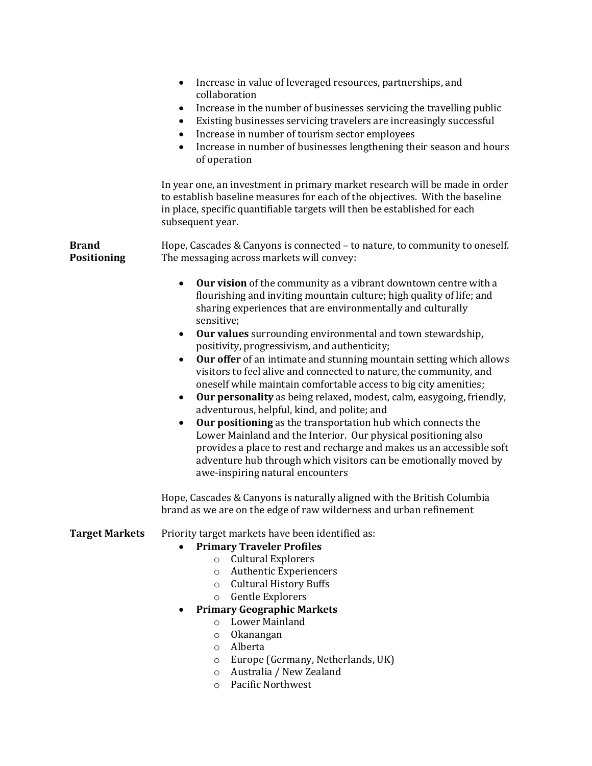|                                    | Increase in value of leveraged resources, partnerships, and<br>$\bullet$<br>collaboration                                                                                                                                                                                                                                                                                                                                                                                                                                                                                                                                                                                                                                         |
|------------------------------------|-----------------------------------------------------------------------------------------------------------------------------------------------------------------------------------------------------------------------------------------------------------------------------------------------------------------------------------------------------------------------------------------------------------------------------------------------------------------------------------------------------------------------------------------------------------------------------------------------------------------------------------------------------------------------------------------------------------------------------------|
|                                    | Increase in the number of businesses servicing the travelling public<br>٠<br>Existing businesses servicing travelers are increasingly successful<br>Increase in number of tourism sector employees                                                                                                                                                                                                                                                                                                                                                                                                                                                                                                                                |
|                                    | Increase in number of businesses lengthening their season and hours<br>$\bullet$<br>of operation                                                                                                                                                                                                                                                                                                                                                                                                                                                                                                                                                                                                                                  |
|                                    | In year one, an investment in primary market research will be made in order<br>to establish baseline measures for each of the objectives. With the baseline<br>in place, specific quantifiable targets will then be established for each<br>subsequent year.                                                                                                                                                                                                                                                                                                                                                                                                                                                                      |
| <b>Brand</b><br><b>Positioning</b> | Hope, Cascades & Canyons is connected - to nature, to community to oneself.<br>The messaging across markets will convey:                                                                                                                                                                                                                                                                                                                                                                                                                                                                                                                                                                                                          |
|                                    | Our vision of the community as a vibrant downtown centre with a<br>٠<br>flourishing and inviting mountain culture; high quality of life; and<br>sharing experiences that are environmentally and culturally<br>sensitive;                                                                                                                                                                                                                                                                                                                                                                                                                                                                                                         |
|                                    | Our values surrounding environmental and town stewardship,                                                                                                                                                                                                                                                                                                                                                                                                                                                                                                                                                                                                                                                                        |
|                                    | positivity, progressivism, and authenticity;<br>Our offer of an intimate and stunning mountain setting which allows<br>$\bullet$<br>visitors to feel alive and connected to nature, the community, and<br>oneself while maintain comfortable access to big city amenities;<br>Our personality as being relaxed, modest, calm, easygoing, friendly,<br>$\bullet$<br>adventurous, helpful, kind, and polite; and<br>Our positioning as the transportation hub which connects the<br>Lower Mainland and the Interior. Our physical positioning also<br>provides a place to rest and recharge and makes us an accessible soft<br>adventure hub through which visitors can be emotionally moved by<br>awe-inspiring natural encounters |
|                                    | Hope, Cascades & Canyons is naturally aligned with the British Columbia<br>brand as we are on the edge of raw wilderness and urban refinement                                                                                                                                                                                                                                                                                                                                                                                                                                                                                                                                                                                     |
| <b>Target Markets</b>              | Priority target markets have been identified as:<br><b>Primary Traveler Profiles</b><br><b>Cultural Explorers</b><br>$\circ$<br><b>Authentic Experiencers</b><br>O<br><b>Cultural History Buffs</b><br>$\circ$<br>Gentle Explorers<br>$\circ$<br><b>Primary Geographic Markets</b><br><b>Lower Mainland</b><br>$\circ$<br>Okanangan<br>$\circ$<br>Alberta<br>$\circ$<br>Europe (Germany, Netherlands, UK)<br>O<br>Australia / New Zealand<br>$\circ$<br><b>Pacific Northwest</b><br>$\circ$                                                                                                                                                                                                                                       |
|                                    |                                                                                                                                                                                                                                                                                                                                                                                                                                                                                                                                                                                                                                                                                                                                   |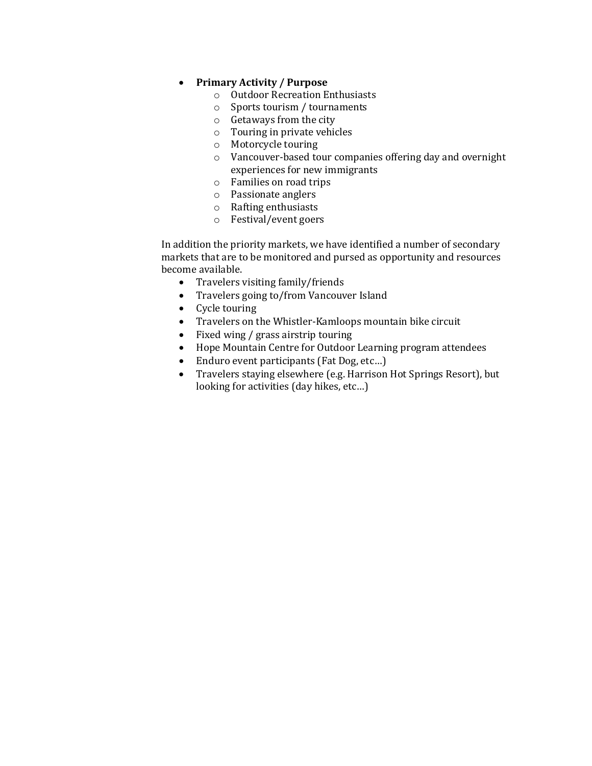# • **Primary Activity / Purpose**

- o Outdoor Recreation Enthusiasts
- o Sports tourism / tournaments
- o Getaways from the city
- o Touring in private vehicles
- o Motorcycle touring
- o Vancouver-based tour companies offering day and overnight experiences for new immigrants
- o Families on road trips
- o Passionate anglers
- o Rafting enthusiasts
- o Festival/event goers

In addition the priority markets, we have identified a number of secondary markets that are to be monitored and pursed as opportunity and resources become available.

- Travelers visiting family/friends
- Travelers going to/from Vancouver Island
- Cycle touring
- Travelers on the Whistler-Kamloops mountain bike circuit
- Fixed wing / grass airstrip touring
- Hope Mountain Centre for Outdoor Learning program attendees
- Enduro event participants (Fat Dog, etc...)
- Travelers staying elsewhere (e.g. Harrison Hot Springs Resort), but looking for activities (day hikes, etc…)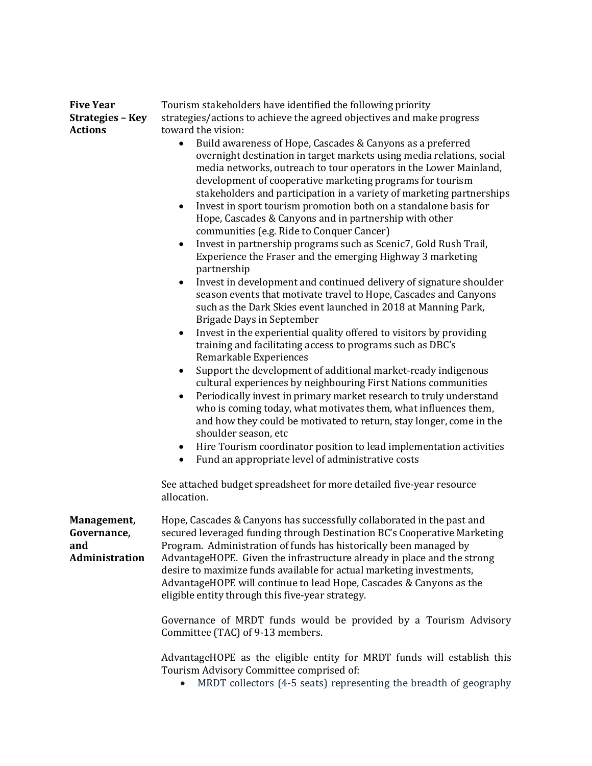| <b>Five Year</b><br><b>Strategies - Key</b>         | Tourism stakeholders have identified the following priority<br>strategies/actions to achieve the agreed objectives and make progress                                                                                                                                                                                                                                                                                                                                                                                                                                                                                                                                                                                                                                                                                                                                                                                                                                                                                                                                                                                                                                                                                                                                                                                                                                                                                                                                                                                                                                                                                                                                          |
|-----------------------------------------------------|-------------------------------------------------------------------------------------------------------------------------------------------------------------------------------------------------------------------------------------------------------------------------------------------------------------------------------------------------------------------------------------------------------------------------------------------------------------------------------------------------------------------------------------------------------------------------------------------------------------------------------------------------------------------------------------------------------------------------------------------------------------------------------------------------------------------------------------------------------------------------------------------------------------------------------------------------------------------------------------------------------------------------------------------------------------------------------------------------------------------------------------------------------------------------------------------------------------------------------------------------------------------------------------------------------------------------------------------------------------------------------------------------------------------------------------------------------------------------------------------------------------------------------------------------------------------------------------------------------------------------------------------------------------------------------|
|                                                     |                                                                                                                                                                                                                                                                                                                                                                                                                                                                                                                                                                                                                                                                                                                                                                                                                                                                                                                                                                                                                                                                                                                                                                                                                                                                                                                                                                                                                                                                                                                                                                                                                                                                               |
| <b>Actions</b>                                      | toward the vision:<br>Build awareness of Hope, Cascades & Canyons as a preferred<br>$\bullet$<br>overnight destination in target markets using media relations, social<br>media networks, outreach to tour operators in the Lower Mainland,<br>development of cooperative marketing programs for tourism<br>stakeholders and participation in a variety of marketing partnerships<br>Invest in sport tourism promotion both on a standalone basis for<br>$\bullet$<br>Hope, Cascades & Canyons and in partnership with other<br>communities (e.g. Ride to Conquer Cancer)<br>Invest in partnership programs such as Scenic7, Gold Rush Trail,<br>Experience the Fraser and the emerging Highway 3 marketing<br>partnership<br>Invest in development and continued delivery of signature shoulder<br>$\bullet$<br>season events that motivate travel to Hope, Cascades and Canyons<br>such as the Dark Skies event launched in 2018 at Manning Park,<br>Brigade Days in September<br>Invest in the experiential quality offered to visitors by providing<br>٠<br>training and facilitating access to programs such as DBC's<br>Remarkable Experiences<br>Support the development of additional market-ready indigenous<br>cultural experiences by neighbouring First Nations communities<br>Periodically invest in primary market research to truly understand<br>who is coming today, what motivates them, what influences them,<br>and how they could be motivated to return, stay longer, come in the<br>shoulder season, etc<br>Hire Tourism coordinator position to lead implementation activities<br>٠<br>Fund an appropriate level of administrative costs<br>$\bullet$ |
|                                                     | See attached budget spreadsheet for more detailed five-year resource<br>allocation.                                                                                                                                                                                                                                                                                                                                                                                                                                                                                                                                                                                                                                                                                                                                                                                                                                                                                                                                                                                                                                                                                                                                                                                                                                                                                                                                                                                                                                                                                                                                                                                           |
| Management,<br>Governance,<br>and<br>Administration | Hope, Cascades & Canyons has successfully collaborated in the past and<br>secured leveraged funding through Destination BC's Cooperative Marketing<br>Program. Administration of funds has historically been managed by<br>AdvantageHOPE. Given the infrastructure already in place and the strong<br>desire to maximize funds available for actual marketing investments,<br>AdvantageHOPE will continue to lead Hope, Cascades & Canyons as the<br>eligible entity through this five-year strategy.<br>Governance of MRDT funds would be provided by a Tourism Advisory<br>Committee (TAC) of 9-13 members.<br>AdvantageHOPE as the eligible entity for MRDT funds will establish this<br>Tourism Advisory Committee comprised of:                                                                                                                                                                                                                                                                                                                                                                                                                                                                                                                                                                                                                                                                                                                                                                                                                                                                                                                                          |
|                                                     | MDDT collectors $(A, \overline{5})$ coats) representing the breadth of geography                                                                                                                                                                                                                                                                                                                                                                                                                                                                                                                                                                                                                                                                                                                                                                                                                                                                                                                                                                                                                                                                                                                                                                                                                                                                                                                                                                                                                                                                                                                                                                                              |

• MRDT collectors (4-5 seats) representing the breadth of geography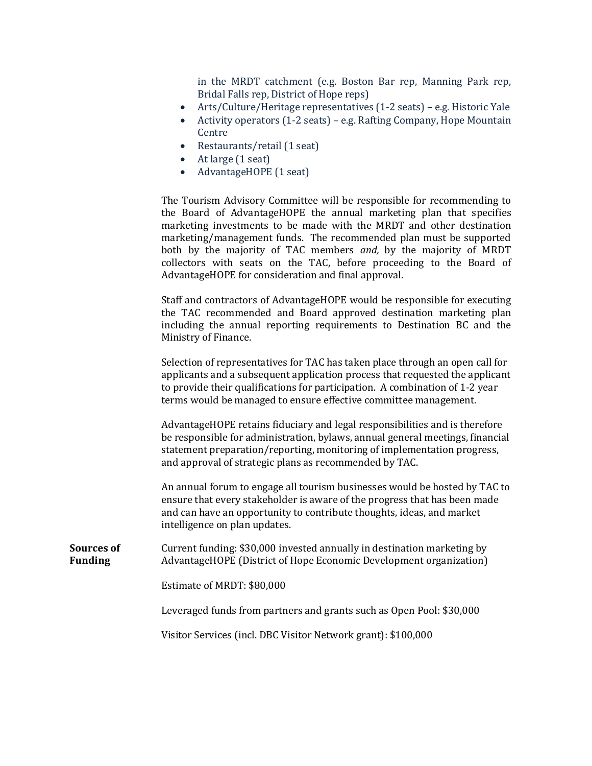in the MRDT catchment (e.g. Boston Bar rep, Manning Park rep, Bridal Falls rep, District of Hope reps)

- Arts/Culture/Heritage representatives (1-2 seats) e.g. Historic Yale
- Activity operators (1-2 seats) e.g. Rafting Company, Hope Mountain Centre
- Restaurants/retail (1 seat)
- At large (1 seat)
- AdvantageHOPE (1 seat)

The Tourism Advisory Committee will be responsible for recommending to the Board of AdvantageHOPE the annual marketing plan that specifies marketing investments to be made with the MRDT and other destination marketing/management funds. The recommended plan must be supported both by the majority of TAC members *and,* by the majority of MRDT collectors with seats on the TAC, before proceeding to the Board of AdvantageHOPE for consideration and final approval.

Staff and contractors of AdvantageHOPE would be responsible for executing the TAC recommended and Board approved destination marketing plan including the annual reporting requirements to Destination BC and the Ministry of Finance.

Selection of representatives for TAC has taken place through an open call for applicants and a subsequent application process that requested the applicant to provide their qualifications for participation. A combination of 1-2 year terms would be managed to ensure effective committee management.

AdvantageHOPE retains fiduciary and legal responsibilities and is therefore be responsible for administration, bylaws, annual general meetings, financial statement preparation/reporting, monitoring of implementation progress, and approval of strategic plans as recommended by TAC.

An annual forum to engage all tourism businesses would be hosted by TAC to ensure that every stakeholder is aware of the progress that has been made and can have an opportunity to contribute thoughts, ideas, and market intelligence on plan updates.

**Sources of Funding** Current funding: \$30,000 invested annually in destination marketing by AdvantageHOPE (District of Hope Economic Development organization)

Estimate of MRDT: \$80,000

Leveraged funds from partners and grants such as Open Pool: \$30,000

Visitor Services (incl. DBC Visitor Network grant): \$100,000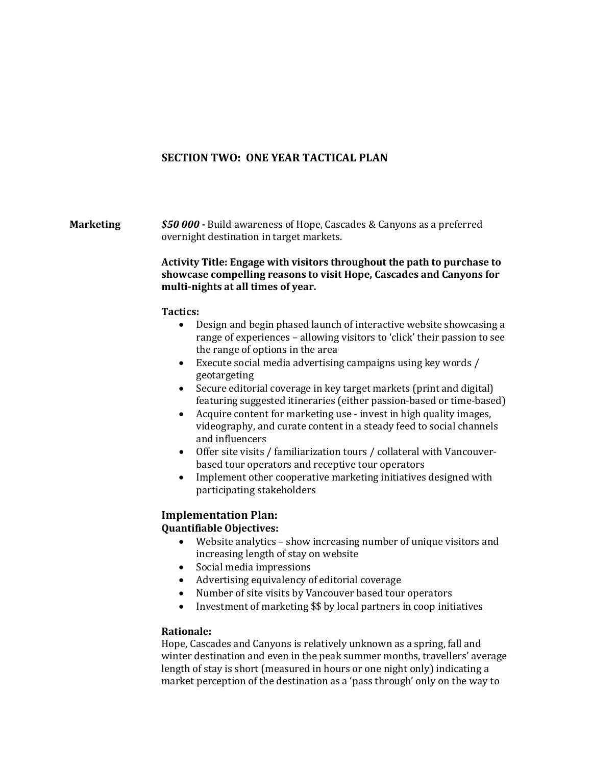# **SECTION TWO: ONE YEAR TACTICAL PLAN**

**Marketing** *\$50 000 -* Build awareness of Hope, Cascades & Canyons as a preferred overnight destination in target markets.

### **Activity Title: Engage with visitors throughout the path to purchase to showcase compelling reasons to visit Hope, Cascades and Canyons for multi-nights at all times of year.**

### **Tactics:**

- Design and begin phased launch of interactive website showcasing a range of experiences – allowing visitors to 'click' their passion to see the range of options in the area
- Execute social media advertising campaigns using key words / geotargeting
- Secure editorial coverage in key target markets (print and digital) featuring suggested itineraries (either passion-based or time-based)
- Acquire content for marketing use invest in high quality images, videography, and curate content in a steady feed to social channels and influencers
- Offer site visits / familiarization tours / collateral with Vancouverbased tour operators and receptive tour operators
- Implement other cooperative marketing initiatives designed with participating stakeholders

# **Implementation Plan:**

# **Quantifiable Objectives:**

- Website analytics show increasing number of unique visitors and increasing length of stay on website
- Social media impressions
- Advertising equivalency of editorial coverage
- Number of site visits by Vancouver based tour operators<br>• Investment of marketing \$\$ by local partners in coop init
- Investment of marketing \$\$ by local partners in coop initiatives

### **Rationale:**

Hope, Cascades and Canyons is relatively unknown as a spring, fall and winter destination and even in the peak summer months, travellers' average length of stay is short (measured in hours or one night only) indicating a market perception of the destination as a 'pass through' only on the way to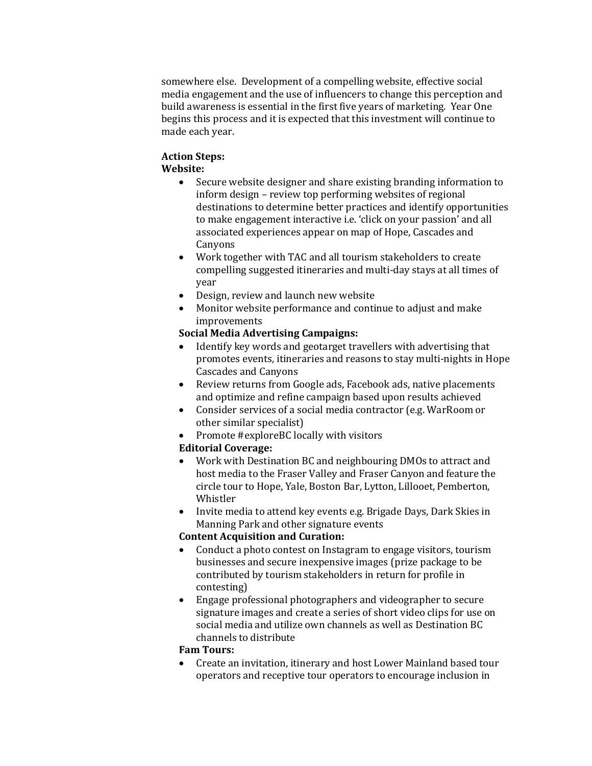somewhere else. Development of a compelling website, effective social media engagement and the use of influencers to change this perception and build awareness is essential in the first five years of marketing. Year One begins this process and it is expected that this investment will continue to made each year.

## **Action Steps: Website:**

- Secure website designer and share existing branding information to inform design – review top performing websites of regional destinations to determine better practices and identify opportunities to make engagement interactive i.e. 'click on your passion' and all associated experiences appear on map of Hope, Cascades and Canyons
- Work together with TAC and all tourism stakeholders to create compelling suggested itineraries and multi-day stays at all times of year
- Design, review and launch new website
- Monitor website performance and continue to adjust and make improvements

# **Social Media Advertising Campaigns:**

- Identify key words and geotarget travellers with advertising that promotes events, itineraries and reasons to stay multi-nights in Hope Cascades and Canyons
- Review returns from Google ads, Facebook ads, native placements and optimize and refine campaign based upon results achieved
- Consider services of a social media contractor (e.g. WarRoom or other similar specialist)
- Promote #exploreBC locally with visitors

# **Editorial Coverage:**

- Work with Destination BC and neighbouring DMOs to attract and host media to the Fraser Valley and Fraser Canyon and feature the circle tour to Hope, Yale, Boston Bar, Lytton, Lillooet, Pemberton, Whistler
- Invite media to attend key events e.g. Brigade Days, Dark Skies in Manning Park and other signature events

# **Content Acquisition and Curation:**

- Conduct a photo contest on Instagram to engage visitors, tourism businesses and secure inexpensive images (prize package to be contributed by tourism stakeholders in return for profile in contesting)
- Engage professional photographers and videographer to secure signature images and create a series of short video clips for use on social media and utilize own channels as well as Destination BC channels to distribute

# **Fam Tours:**

• Create an invitation, itinerary and host Lower Mainland based tour operators and receptive tour operators to encourage inclusion in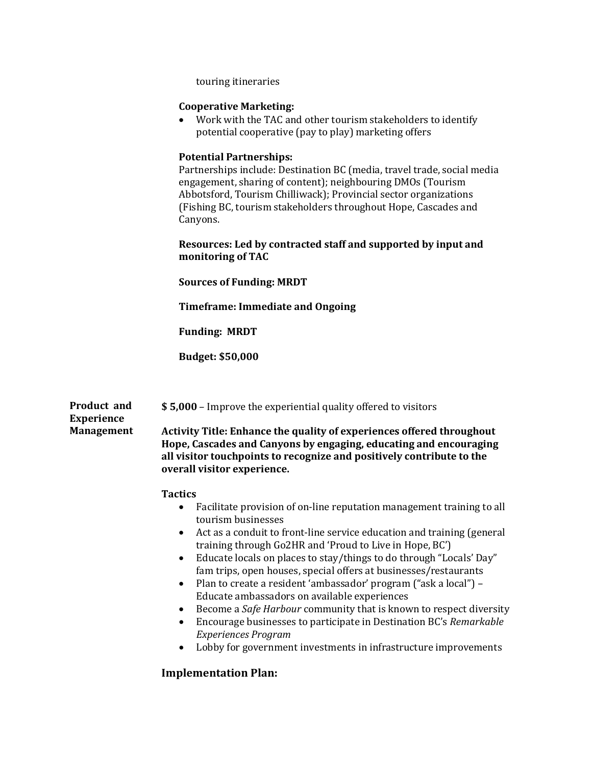touring itineraries

## **Cooperative Marketing:**

• Work with the TAC and other tourism stakeholders to identify potential cooperative (pay to play) marketing offers

# **Potential Partnerships:**

Partnerships include: Destination BC (media, travel trade, social media engagement, sharing of content); neighbouring DMOs (Tourism Abbotsford, Tourism Chilliwack); Provincial sector organizations (Fishing BC, tourism stakeholders throughout Hope, Cascades and Canyons.

## **Resources: Led by contracted staff and supported by input and monitoring of TAC**

**Sources of Funding: MRDT**

**Timeframe: Immediate and Ongoing**

**Funding: MRDT**

**Budget: \$50,000**

| <b>Product and</b><br>Experience | \$5,000 – Improve the experiential quality offered to visitors                                                                                                                                                                                                                                                                                                                                                                                                                                                                                                                                                                                                                                           |
|----------------------------------|----------------------------------------------------------------------------------------------------------------------------------------------------------------------------------------------------------------------------------------------------------------------------------------------------------------------------------------------------------------------------------------------------------------------------------------------------------------------------------------------------------------------------------------------------------------------------------------------------------------------------------------------------------------------------------------------------------|
| Management                       | Activity Title: Enhance the quality of experiences offered throughout<br>Hope, Cascades and Canyons by engaging, educating and encouraging<br>all visitor touchpoints to recognize and positively contribute to the<br>overall visitor experience.                                                                                                                                                                                                                                                                                                                                                                                                                                                       |
|                                  | <b>Tactics</b><br>Facilitate provision of on-line reputation management training to all<br>tourism businesses<br>Act as a conduit to front-line service education and training (general<br>training through Go2HR and 'Proud to Live in Hope, BC')<br>Educate locals on places to stay/things to do through "Locals' Day"<br>fam trips, open houses, special offers at businesses/restaurants<br>Plan to create a resident 'ambassador' program ("ask a local") –<br>Educate ambassadors on available experiences<br>Become a Safe Harbour community that is known to respect diversity<br>Encourage businesses to participate in Destination BC's Remarkable<br>$\bullet$<br><b>Experiences Program</b> |

• Lobby for government investments in infrastructure improvements

# **Implementation Plan:**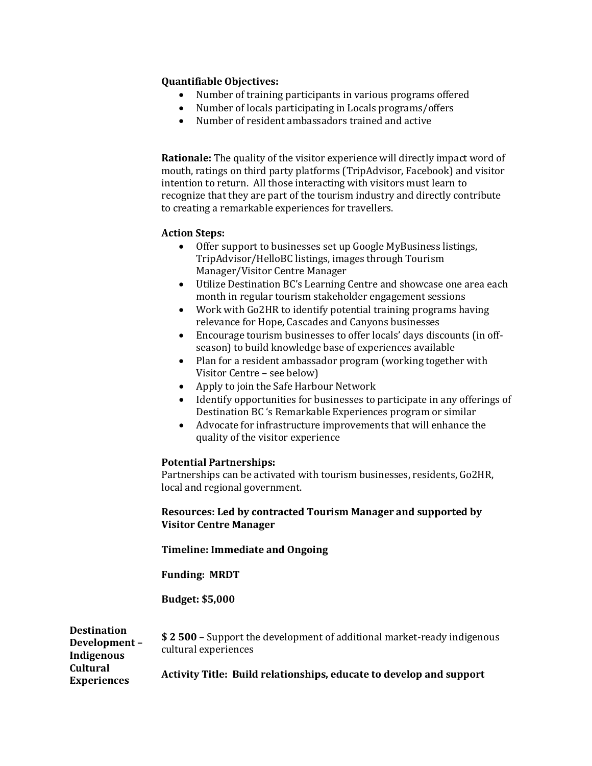# **Quantifiable Objectives:**

- Number of training participants in various programs offered
- Number of locals participating in Locals programs/offers<br>• Number of resident ambassadors trained and active
- Number of resident ambassadors trained and active

**Rationale:** The quality of the visitor experience will directly impact word of mouth, ratings on third party platforms (TripAdvisor, Facebook) and visitor intention to return. All those interacting with visitors must learn to recognize that they are part of the tourism industry and directly contribute to creating a remarkable experiences for travellers.

# **Action Steps:**

- Offer support to businesses set up Google MyBusiness listings, TripAdvisor/HelloBC listings, images through Tourism Manager/Visitor Centre Manager
- Utilize Destination BC's Learning Centre and showcase one area each month in regular tourism stakeholder engagement sessions
- Work with Go2HR to identify potential training programs having relevance for Hope, Cascades and Canyons businesses
- Encourage tourism businesses to offer locals' days discounts (in offseason) to build knowledge base of experiences available
- Plan for a resident ambassador program (working together with Visitor Centre – see below)
- Apply to join the Safe Harbour Network
- Identify opportunities for businesses to participate in any offerings of Destination BC 's Remarkable Experiences program or similar
- Advocate for infrastructure improvements that will enhance the quality of the visitor experience

### **Potential Partnerships:**

Partnerships can be activated with tourism businesses, residents, Go2HR, local and regional government.

# **Resources: Led by contracted Tourism Manager and supported by Visitor Centre Manager**

**Timeline: Immediate and Ongoing**

**Funding: MRDT**

**Budget: \$5,000**

| <b>Destination</b><br>Development-<br>Indigenous | \$2 500 – Support the development of additional market-ready indigenous<br>cultural experiences |
|--------------------------------------------------|-------------------------------------------------------------------------------------------------|
| <b>Cultural</b><br><b>Experiences</b>            | Activity Title: Build relationships, educate to develop and support                             |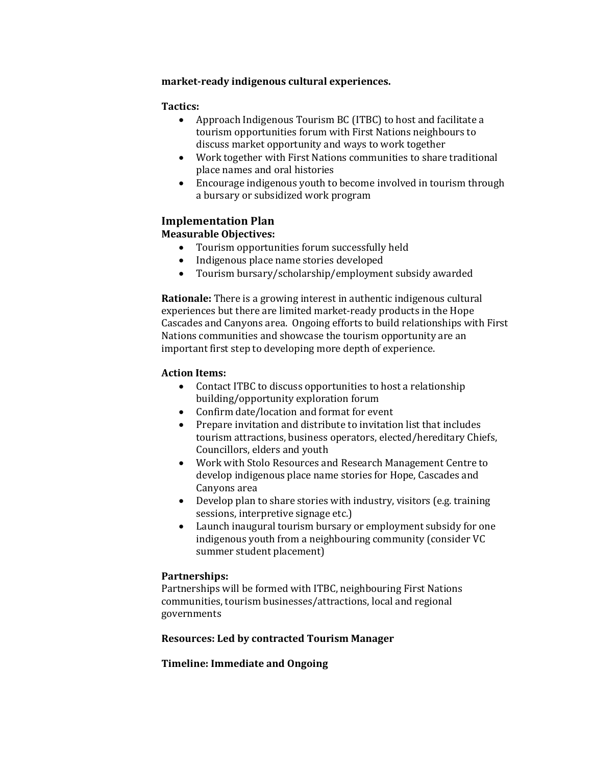# **market-ready indigenous cultural experiences.**

# **Tactics:**

- Approach Indigenous Tourism BC (ITBC) to host and facilitate a tourism opportunities forum with First Nations neighbours to discuss market opportunity and ways to work together
- Work together with First Nations communities to share traditional place names and oral histories
- Encourage indigenous youth to become involved in tourism through a bursary or subsidized work program

# **Implementation Plan**

# **Measurable Objectives:**

- Tourism opportunities forum successfully held
- Indigenous place name stories developed
- Tourism bursary/scholarship/employment subsidy awarded

**Rationale:** There is a growing interest in authentic indigenous cultural experiences but there are limited market-ready products in the Hope Cascades and Canyons area. Ongoing efforts to build relationships with First Nations communities and showcase the tourism opportunity are an important first step to developing more depth of experience.

# **Action Items:**

- Contact ITBC to discuss opportunities to host a relationship building/opportunity exploration forum
- Confirm date/location and format for event<br>• Prepare invitation and distribute to invitation
- Prepare invitation and distribute to invitation list that includes tourism attractions, business operators, elected/hereditary Chiefs, Councillors, elders and youth
- Work with Stolo Resources and Research Management Centre to develop indigenous place name stories for Hope, Cascades and Canyons area
- Develop plan to share stories with industry, visitors (e.g. training sessions, interpretive signage etc.)
- Launch inaugural tourism bursary or employment subsidy for one indigenous youth from a neighbouring community (consider VC summer student placement)

### **Partnerships:**

Partnerships will be formed with ITBC, neighbouring First Nations communities, tourism businesses/attractions, local and regional governments

**Resources: Led by contracted Tourism Manager**

# **Timeline: Immediate and Ongoing**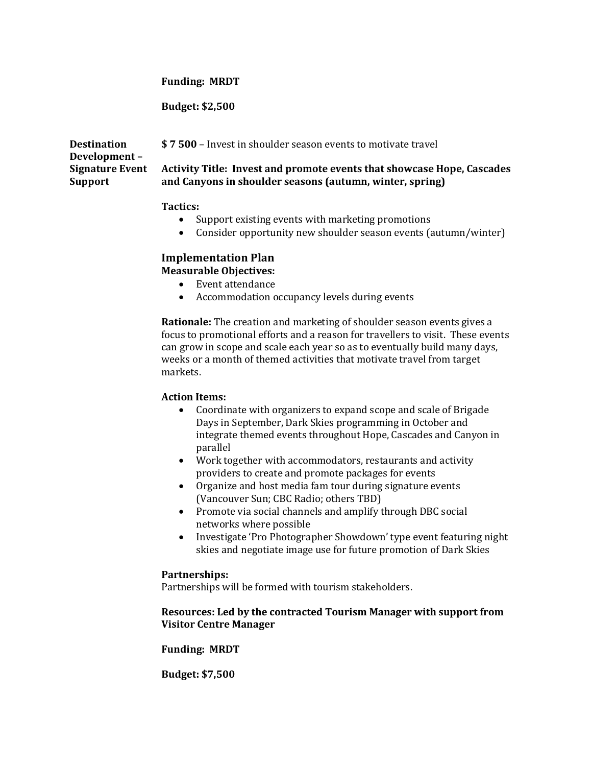### **Funding: MRDT**

**Budget: \$2,500**

**Destination Development – Signature Event Support \$ 7 500** – Invest in shoulder season events to motivate travel **Activity Title: Invest and promote events that showcase Hope, Cascades and Canyons in shoulder seasons (autumn, winter, spring)**

### **Tactics:**

- Support existing events with marketing promotions
- Consider opportunity new shoulder season events (autumn/winter)

# **Implementation Plan**

**Measurable Objectives:**

- Event attendance
- Accommodation occupancy levels during events

**Rationale:** The creation and marketing of shoulder season events gives a focus to promotional efforts and a reason for travellers to visit. These events can grow in scope and scale each year so as to eventually build many days, weeks or a month of themed activities that motivate travel from target markets.

### **Action Items:**

- Coordinate with organizers to expand scope and scale of Brigade Days in September, Dark Skies programming in October and integrate themed events throughout Hope, Cascades and Canyon in parallel
- Work together with accommodators, restaurants and activity providers to create and promote packages for events
- Organize and host media fam tour during signature events (Vancouver Sun; CBC Radio; others TBD)
- Promote via social channels and amplify through DBC social networks where possible
- Investigate 'Pro Photographer Showdown' type event featuring night skies and negotiate image use for future promotion of Dark Skies

### **Partnerships:**

Partnerships will be formed with tourism stakeholders.

### **Resources: Led by the contracted Tourism Manager with support from Visitor Centre Manager**

### **Funding: MRDT**

**Budget: \$7,500**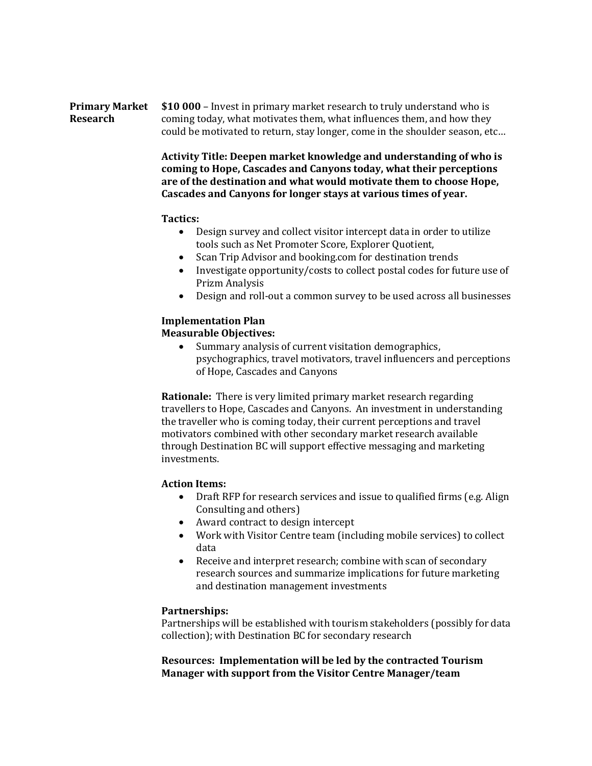#### **Primary Market Research \$10 000** – Invest in primary market research to truly understand who is coming today, what motivates them, what influences them, and how they could be motivated to return, stay longer, come in the shoulder season, etc…

**Activity Title: Deepen market knowledge and understanding of who is coming to Hope, Cascades and Canyons today, what their perceptions are of the destination and what would motivate them to choose Hope, Cascades and Canyons for longer stays at various times of year.**

### **Tactics:**

- Design survey and collect visitor intercept data in order to utilize tools such as Net Promoter Score, Explorer Quotient,
- Scan Trip Advisor and booking.com for destination trends
- Investigate opportunity/costs to collect postal codes for future use of Prizm Analysis
- Design and roll-out a common survey to be used across all businesses

### **Implementation Plan Measurable Objectives:**

• Summary analysis of current visitation demographics, psychographics, travel motivators, travel influencers and perceptions of Hope, Cascades and Canyons

**Rationale:** There is very limited primary market research regarding travellers to Hope, Cascades and Canyons. An investment in understanding the traveller who is coming today, their current perceptions and travel motivators combined with other secondary market research available through Destination BC will support effective messaging and marketing investments.

# **Action Items:**

- Draft RFP for research services and issue to qualified firms (e.g. Align Consulting and others)
- Award contract to design intercept
- Work with Visitor Centre team (including mobile services) to collect data
- Receive and interpret research; combine with scan of secondary research sources and summarize implications for future marketing and destination management investments

# **Partnerships:**

Partnerships will be established with tourism stakeholders (possibly for data collection); with Destination BC for secondary research

# **Resources: Implementation will be led by the contracted Tourism Manager with support from the Visitor Centre Manager/team**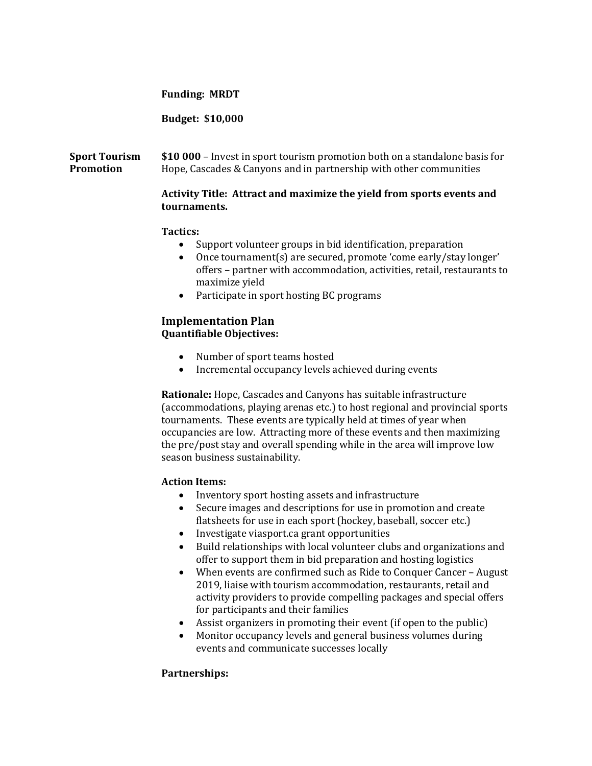### **Funding: MRDT**

## **Budget: \$10,000**

#### **Sport Tourism Promotion \$10 000** – Invest in sport tourism promotion both on a standalone basis for Hope, Cascades & Canyons and in partnership with other communities

# **Activity Title: Attract and maximize the yield from sports events and tournaments.**

# **Tactics:**

- Support volunteer groups in bid identification, preparation
- Once tournament(s) are secured, promote 'come early/stay longer' offers – partner with accommodation, activities, retail, restaurants to maximize yield
- Participate in sport hosting BC programs

# **Implementation Plan Quantifiable Objectives:**

- Number of sport teams hosted
- Incremental occupancy levels achieved during events

**Rationale:** Hope, Cascades and Canyons has suitable infrastructure (accommodations, playing arenas etc.) to host regional and provincial sports tournaments. These events are typically held at times of year when occupancies are low. Attracting more of these events and then maximizing the pre/post stay and overall spending while in the area will improve low season business sustainability.

### **Action Items:**

- Inventory sport hosting assets and infrastructure
- Secure images and descriptions for use in promotion and create flatsheets for use in each sport (hockey, baseball, soccer etc.)
- Investigate viasport.ca grant opportunities
- Build relationships with local volunteer clubs and organizations and offer to support them in bid preparation and hosting logistics
- When events are confirmed such as Ride to Conquer Cancer August 2019, liaise with tourism accommodation, restaurants, retail and activity providers to provide compelling packages and special offers for participants and their families
- Assist organizers in promoting their event (if open to the public)
- Monitor occupancy levels and general business volumes during events and communicate successes locally

# **Partnerships:**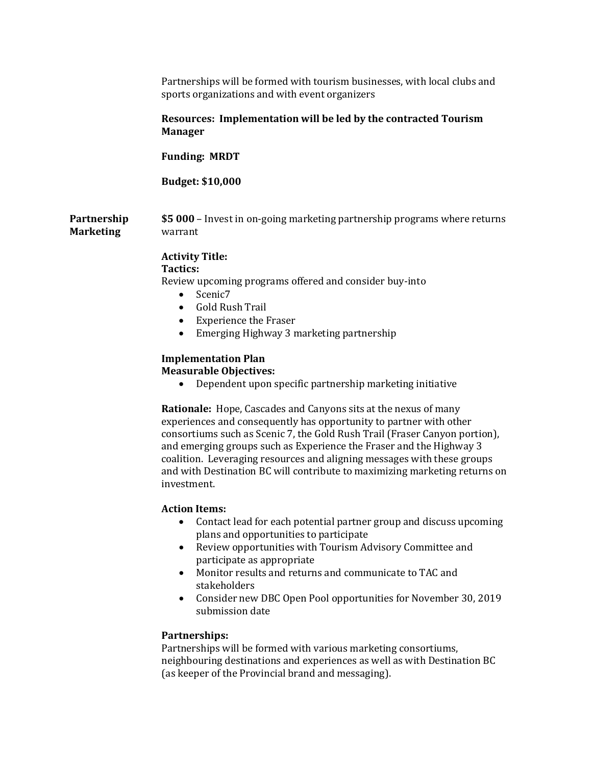|                                 | Partnerships will be formed with tourism businesses, with local clubs and<br>sports organizations and with event organizers                                                                                                                          |
|---------------------------------|------------------------------------------------------------------------------------------------------------------------------------------------------------------------------------------------------------------------------------------------------|
|                                 | Resources: Implementation will be led by the contracted Tourism<br><b>Manager</b>                                                                                                                                                                    |
|                                 | <b>Funding: MRDT</b>                                                                                                                                                                                                                                 |
|                                 | <b>Budget: \$10,000</b>                                                                                                                                                                                                                              |
| Partnership<br><b>Marketing</b> | \$5 000 – Invest in on-going marketing partnership programs where returns<br>warrant                                                                                                                                                                 |
|                                 | <b>Activity Title:</b><br>Tactics:<br>Review upcoming programs offered and consider buy-into<br>Scenic7<br>$\bullet$<br><b>Gold Rush Trail</b><br>$\bullet$<br><b>Experience the Fraser</b><br>$\bullet$<br>Emerging Highway 3 marketing partnership |
|                                 | <b>Implementation Plan</b><br><b>Measurable Objectives:</b><br>Dependent upon specific partnership marketing initiative                                                                                                                              |

**Rationale:** Hope, Cascades and Canyons sits at the nexus of many experiences and consequently has opportunity to partner with other consortiums such as Scenic 7, the Gold Rush Trail (Fraser Canyon portion), and emerging groups such as Experience the Fraser and the Highway 3 coalition. Leveraging resources and aligning messages with these groups and with Destination BC will contribute to maximizing marketing returns on investment.

# **Action Items:**

- Contact lead for each potential partner group and discuss upcoming plans and opportunities to participate
- Review opportunities with Tourism Advisory Committee and participate as appropriate
- Monitor results and returns and communicate to TAC and stakeholders
- Consider new DBC Open Pool opportunities for November 30, 2019 submission date

### **Partnerships:**

Partnerships will be formed with various marketing consortiums, neighbouring destinations and experiences as well as with Destination BC (as keeper of the Provincial brand and messaging).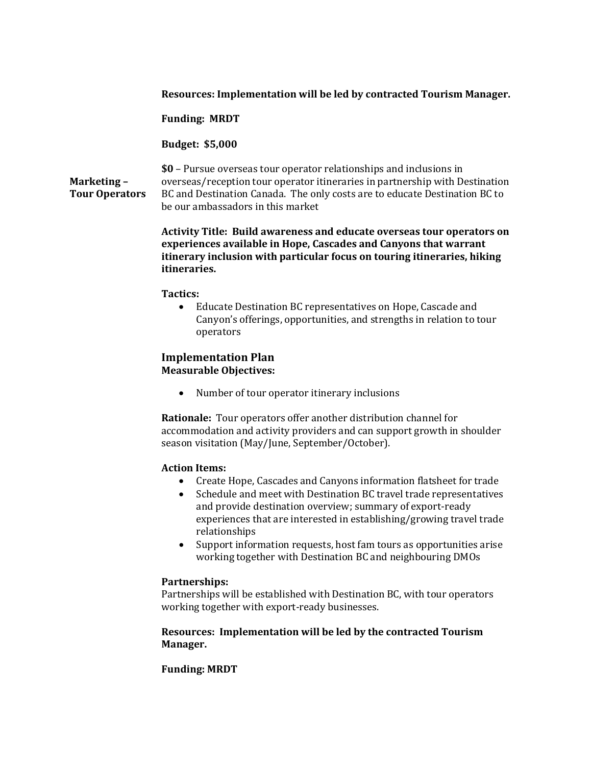### **Resources: Implementation will be led by contracted Tourism Manager.**

**Funding: MRDT**

**Budget: \$5,000**

# **Marketing – Tour Operators**

**\$0** – Pursue overseas tour operator relationships and inclusions in overseas/reception tour operator itineraries in partnership with Destination BC and Destination Canada. The only costs are to educate Destination BC to be our ambassadors in this market

**Activity Title: Build awareness and educate overseas tour operators on experiences available in Hope, Cascades and Canyons that warrant itinerary inclusion with particular focus on touring itineraries, hiking itineraries.**

### **Tactics:**

• Educate Destination BC representatives on Hope, Cascade and Canyon's offerings, opportunities, and strengths in relation to tour operators

# **Implementation Plan Measurable Objectives:**

• Number of tour operator itinerary inclusions

**Rationale:** Tour operators offer another distribution channel for accommodation and activity providers and can support growth in shoulder season visitation (May/June, September/October).

### **Action Items:**

- Create Hope, Cascades and Canyons information flatsheet for trade
- Schedule and meet with Destination BC travel trade representatives and provide destination overview; summary of export-ready experiences that are interested in establishing/growing travel trade relationships
- Support information requests, host fam tours as opportunities arise working together with Destination BC and neighbouring DMOs

### **Partnerships:**

Partnerships will be established with Destination BC, with tour operators working together with export-ready businesses.

### **Resources: Implementation will be led by the contracted Tourism Manager.**

### **Funding: MRDT**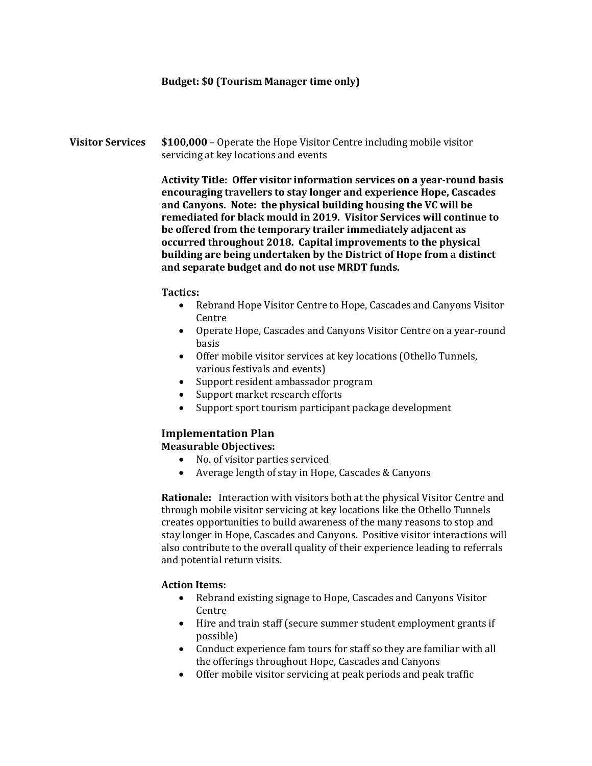## **Budget: \$0 (Tourism Manager time only)**

**Visitor Services \$100,000** – Operate the Hope Visitor Centre including mobile visitor servicing at key locations and events

> **Activity Title: Offer visitor information services on a year-round basis encouraging travellers to stay longer and experience Hope, Cascades and Canyons. Note: the physical building housing the VC will be remediated for black mould in 2019. Visitor Services will continue to be offered from the temporary trailer immediately adjacent as occurred throughout 2018. Capital improvements to the physical building are being undertaken by the District of Hope from a distinct and separate budget and do not use MRDT funds.**

### **Tactics:**

- Rebrand Hope Visitor Centre to Hope, Cascades and Canyons Visitor Centre
- Operate Hope, Cascades and Canyons Visitor Centre on a year-round basis
- Offer mobile visitor services at key locations (Othello Tunnels, various festivals and events)
- Support resident ambassador program
- Support market research efforts
- Support sport tourism participant package development

# **Implementation Plan**

**Measurable Objectives:**

- No. of visitor parties serviced
- Average length of stay in Hope, Cascades & Canyons

**Rationale:** Interaction with visitors both at the physical Visitor Centre and through mobile visitor servicing at key locations like the Othello Tunnels creates opportunities to build awareness of the many reasons to stop and stay longer in Hope, Cascades and Canyons. Positive visitor interactions will also contribute to the overall quality of their experience leading to referrals and potential return visits.

### **Action Items:**

- Rebrand existing signage to Hope, Cascades and Canyons Visitor Centre
- Hire and train staff (secure summer student employment grants if possible)
- Conduct experience fam tours for staff so they are familiar with all the offerings throughout Hope, Cascades and Canyons
- Offer mobile visitor servicing at peak periods and peak traffic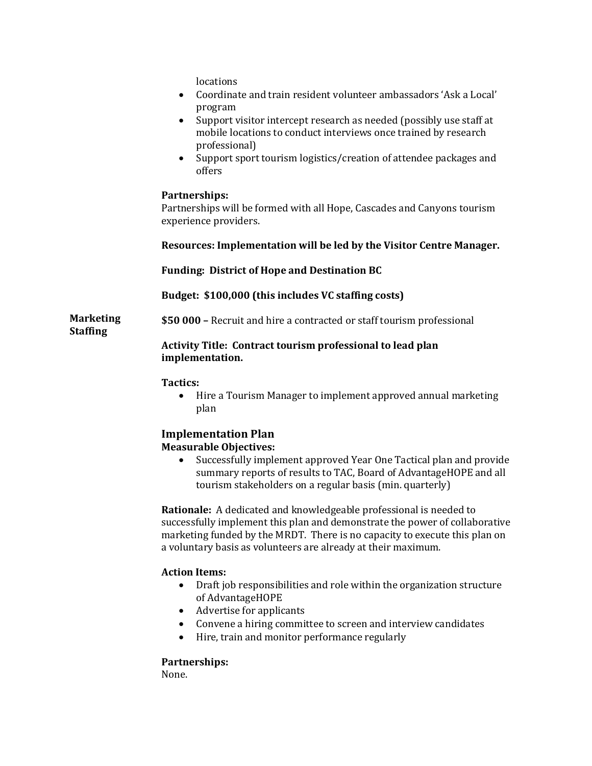**Marketing Staffing** locations • Coordinate and train resident volunteer ambassadors 'Ask a Local' program • Support visitor intercept research as needed (possibly use staff at mobile locations to conduct interviews once trained by research professional) • Support sport tourism logistics/creation of attendee packages and offers **Partnerships:** Partnerships will be formed with all Hope, Cascades and Canyons tourism experience providers. **Resources: Implementation will be led by the Visitor Centre Manager. Funding: District of Hope and Destination BC Budget: \$100,000 (this includes VC staffing costs) \$50 000 –** Recruit and hire a contracted or staff tourism professional **Activity Title: Contract tourism professional to lead plan implementation. Tactics:** • Hire a Tourism Manager to implement approved annual marketing plan **Implementation Plan Measurable Objectives:**  • Successfully implement approved Year One Tactical plan and provide summary reports of results to TAC, Board of AdvantageHOPE and all

tourism stakeholders on a regular basis (min. quarterly)

**Rationale:** A dedicated and knowledgeable professional is needed to successfully implement this plan and demonstrate the power of collaborative marketing funded by the MRDT. There is no capacity to execute this plan on a voluntary basis as volunteers are already at their maximum.

# **Action Items:**

- Draft job responsibilities and role within the organization structure of AdvantageHOPE
- Advertise for applicants
- Convene a hiring committee to screen and interview candidates<br>• Hire, train and monitor performance regularly
- Hire, train and monitor performance regularly

# **Partnerships:**

None.